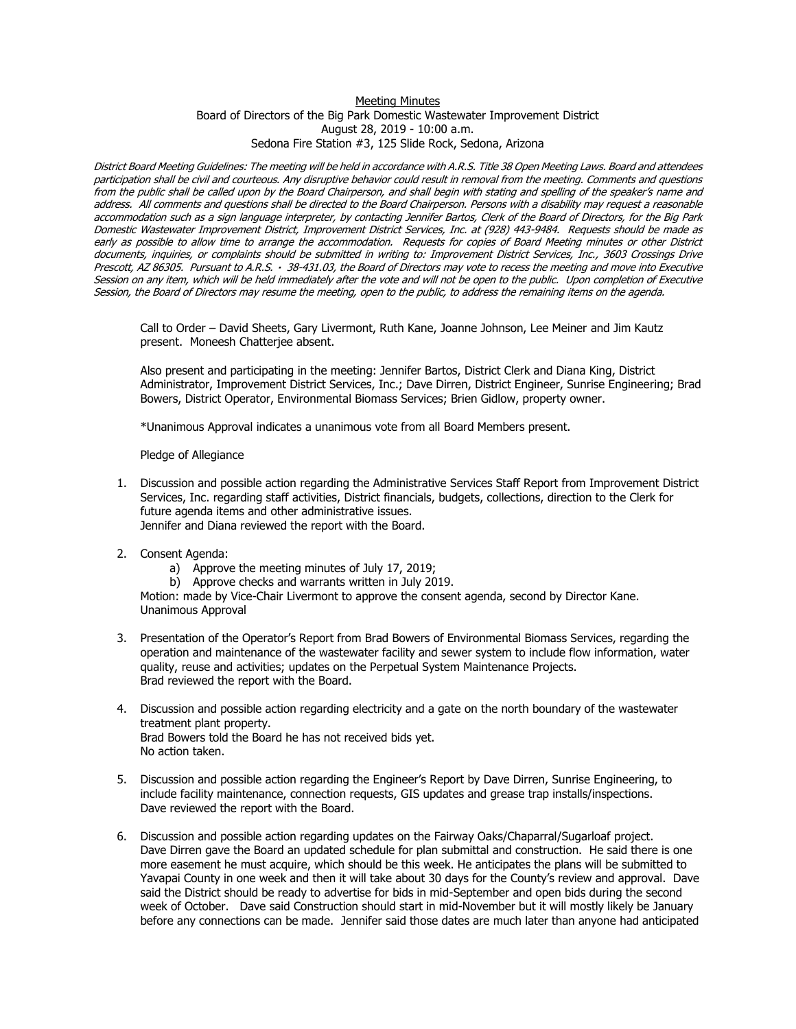## Meeting Minutes

Board of Directors of the Big Park Domestic Wastewater Improvement District August 28, 2019 - 10:00 a.m. Sedona Fire Station #3, 125 Slide Rock, Sedona, Arizona

District Board Meeting Guidelines: The meeting will be held in accordance with A.R.S. Title 38 Open Meeting Laws. Board and attendees participation shall be civil and courteous. Any disruptive behavior could result in removal from the meeting. Comments and questions from the public shall be called upon by the Board Chairperson, and shall begin with stating and spelling of the speaker's name and address. All comments and questions shall be directed to the Board Chairperson. Persons with a disability may request a reasonable accommodation such as a sign language interpreter, by contacting Jennifer Bartos, Clerk of the Board of Directors, for the Big Park Domestic Wastewater Improvement District, Improvement District Services, Inc. at (928) 443-9484. Requests should be made as early as possible to allow time to arrange the accommodation. Requests for copies of Board Meeting minutes or other District documents, inquiries, or complaints should be submitted in writing to: Improvement District Services, Inc., 3603 Crossings Drive Prescott, AZ 86305. Pursuant to A.R.S. 38-431.03, the Board of Directors may vote to recess the meeting and move into Executive Session on any item, which will be held immediately after the vote and will not be open to the public. Upon completion of Executive Session, the Board of Directors may resume the meeting, open to the public, to address the remaining items on the agenda.

Call to Order – David Sheets, Gary Livermont, Ruth Kane, Joanne Johnson, Lee Meiner and Jim Kautz present. Moneesh Chatterjee absent.

Also present and participating in the meeting: Jennifer Bartos, District Clerk and Diana King, District Administrator, Improvement District Services, Inc.; Dave Dirren, District Engineer, Sunrise Engineering; Brad Bowers, District Operator, Environmental Biomass Services; Brien Gidlow, property owner.

\*Unanimous Approval indicates a unanimous vote from all Board Members present.

Pledge of Allegiance

- 1. Discussion and possible action regarding the Administrative Services Staff Report from Improvement District Services, Inc. regarding staff activities, District financials, budgets, collections, direction to the Clerk for future agenda items and other administrative issues. Jennifer and Diana reviewed the report with the Board.
- 2. Consent Agenda:
	- a) Approve the meeting minutes of July 17, 2019;
	- b) Approve checks and warrants written in July 2019.

Motion: made by Vice-Chair Livermont to approve the consent agenda, second by Director Kane. Unanimous Approval

- 3. Presentation of the Operator's Report from Brad Bowers of Environmental Biomass Services, regarding the operation and maintenance of the wastewater facility and sewer system to include flow information, water quality, reuse and activities; updates on the Perpetual System Maintenance Projects. Brad reviewed the report with the Board.
- 4. Discussion and possible action regarding electricity and a gate on the north boundary of the wastewater treatment plant property. Brad Bowers told the Board he has not received bids yet. No action taken.
- 5. Discussion and possible action regarding the Engineer's Report by Dave Dirren, Sunrise Engineering, to include facility maintenance, connection requests, GIS updates and grease trap installs/inspections. Dave reviewed the report with the Board.
- 6. Discussion and possible action regarding updates on the Fairway Oaks/Chaparral/Sugarloaf project. Dave Dirren gave the Board an updated schedule for plan submittal and construction. He said there is one more easement he must acquire, which should be this week. He anticipates the plans will be submitted to Yavapai County in one week and then it will take about 30 days for the County's review and approval. Dave said the District should be ready to advertise for bids in mid-September and open bids during the second week of October. Dave said Construction should start in mid-November but it will mostly likely be January before any connections can be made. Jennifer said those dates are much later than anyone had anticipated